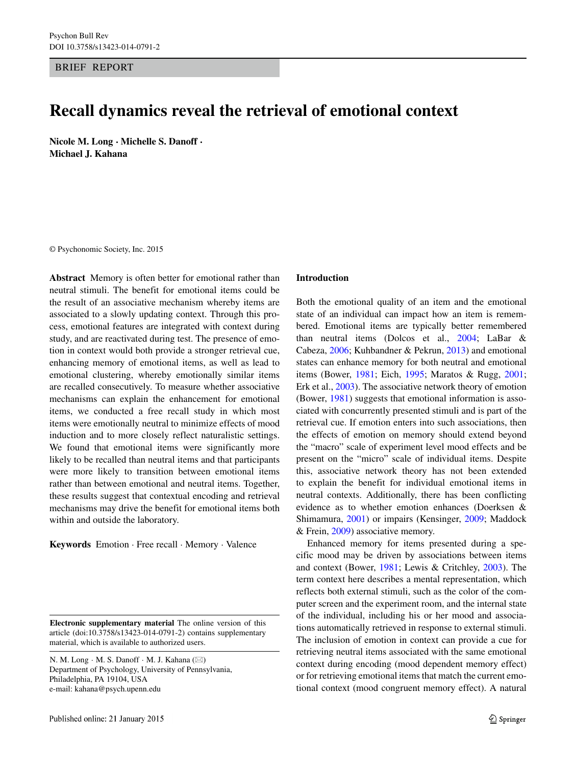BRIEF REPORT

# **Recall dynamics reveal the retrieval of emotional context**

**Nicole M. Long · Michelle S. Danoff · Michael J. Kahana**

© Psychonomic Society, Inc. 2015

**Abstract** Memory is often better for emotional rather than neutral stimuli. The benefit for emotional items could be the result of an associative mechanism whereby items are associated to a slowly updating context. Through this process, emotional features are integrated with context during study, and are reactivated during test. The presence of emotion in context would both provide a stronger retrieval cue, enhancing memory of emotional items, as well as lead to emotional clustering, whereby emotionally similar items are recalled consecutively. To measure whether associative mechanisms can explain the enhancement for emotional items, we conducted a free recall study in which most items were emotionally neutral to minimize effects of mood induction and to more closely reflect naturalistic settings. We found that emotional items were significantly more likely to be recalled than neutral items and that participants were more likely to transition between emotional items rather than between emotional and neutral items. Together, these results suggest that contextual encoding and retrieval mechanisms may drive the benefit for emotional items both within and outside the laboratory.

**Keywords** Emotion · Free recall · Memory · Valence

**Electronic supplementary material** The online version of this article (doi[:10.3758/s13423-014-0791-2\)](http://dx.doi.org/10.3758/s13423-014-0791-2) contains supplementary material, which is available to authorized users.

N. M. Long  $\cdot$  M. S. Danoff  $\cdot$  M. J. Kahana ( $\boxtimes$ ) Department of Psychology, University of Pennsylvania, Philadelphia, PA 19104, USA e-mail: [kahana@psych.upenn.edu](mailto:kahana@psych.upenn.edu)

#### **Introduction**

Both the emotional quality of an item and the emotional state of an individual can impact how an item is remembered. Emotional items are typically better remembered than neutral items (Dolcos et al., [2004;](#page-5-0) LaBar & Cabeza, [2006;](#page-5-1) Kuhbandner & Pekrun, [2013\)](#page-5-2) and emotional states can enhance memory for both neutral and emotional items (Bower, [1981;](#page-5-3) Eich, [1995;](#page-5-4) Maratos & Rugg, [2001;](#page-5-5) Erk et al., [2003\)](#page-5-6). The associative network theory of emotion (Bower, [1981\)](#page-5-3) suggests that emotional information is associated with concurrently presented stimuli and is part of the retrieval cue. If emotion enters into such associations, then the effects of emotion on memory should extend beyond the "macro" scale of experiment level mood effects and be present on the "micro" scale of individual items. Despite this, associative network theory has not been extended to explain the benefit for individual emotional items in neutral contexts. Additionally, there has been conflicting evidence as to whether emotion enhances (Doerksen & Shimamura, [2001\)](#page-5-7) or impairs (Kensinger, [2009;](#page-5-8) Maddock & Frein, [2009\)](#page-5-9) associative memory.

Enhanced memory for items presented during a specific mood may be driven by associations between items and context (Bower, [1981;](#page-5-3) Lewis & Critchley, [2003\)](#page-5-10). The term context here describes a mental representation, which reflects both external stimuli, such as the color of the computer screen and the experiment room, and the internal state of the individual, including his or her mood and associations automatically retrieved in response to external stimuli. The inclusion of emotion in context can provide a cue for retrieving neutral items associated with the same emotional context during encoding (mood dependent memory effect) or for retrieving emotional items that match the current emotional context (mood congruent memory effect). A natural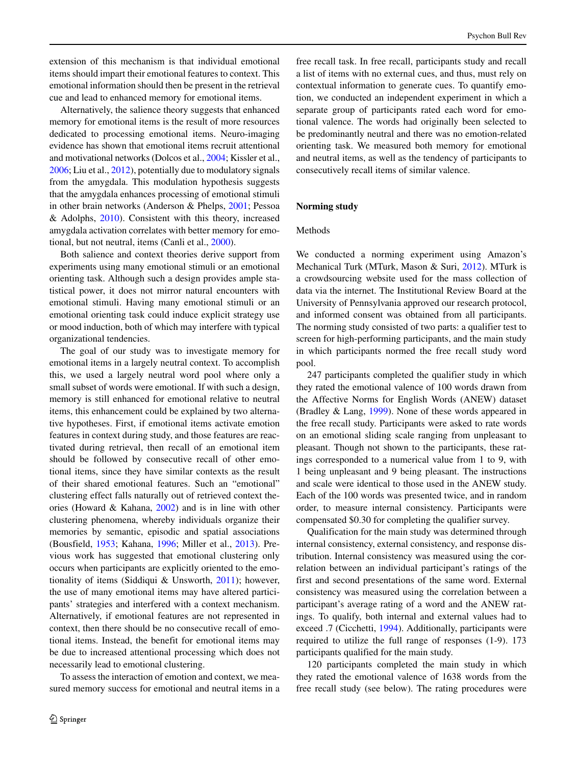extension of this mechanism is that individual emotional items should impart their emotional features to context. This emotional information should then be present in the retrieval cue and lead to enhanced memory for emotional items.

Alternatively, the salience theory suggests that enhanced memory for emotional items is the result of more resources dedicated to processing emotional items. Neuro-imaging evidence has shown that emotional items recruit attentional and motivational networks (Dolcos et al., [2004;](#page-5-0) Kissler et al., [2006;](#page-5-11) Liu et al., [2012\)](#page-5-12), potentially due to modulatory signals from the amygdala. This modulation hypothesis suggests that the amygdala enhances processing of emotional stimuli in other brain networks (Anderson & Phelps, [2001;](#page-5-13) Pessoa & Adolphs,  $2010$ ). Consistent with this theory, increased amygdala activation correlates with better memory for emotional, but not neutral, items (Canli et al., [2000\)](#page-5-15).

Both salience and context theories derive support from experiments using many emotional stimuli or an emotional orienting task. Although such a design provides ample statistical power, it does not mirror natural encounters with emotional stimuli. Having many emotional stimuli or an emotional orienting task could induce explicit strategy use or mood induction, both of which may interfere with typical organizational tendencies.

The goal of our study was to investigate memory for emotional items in a largely neutral context. To accomplish this, we used a largely neutral word pool where only a small subset of words were emotional. If with such a design, memory is still enhanced for emotional relative to neutral items, this enhancement could be explained by two alternative hypotheses. First, if emotional items activate emotion features in context during study, and those features are reactivated during retrieval, then recall of an emotional item should be followed by consecutive recall of other emotional items, since they have similar contexts as the result of their shared emotional features. Such an "emotional" clustering effect falls naturally out of retrieved context theories (Howard & Kahana, [2002\)](#page-5-16) and is in line with other clustering phenomena, whereby individuals organize their memories by semantic, episodic and spatial associations (Bousfield, [1953;](#page-5-17) Kahana, [1996;](#page-5-18) Miller et al., [2013\)](#page-5-19). Previous work has suggested that emotional clustering only occurs when participants are explicitly oriented to the emotionality of items (Siddiqui & Unsworth, [2011\)](#page-5-20); however, the use of many emotional items may have altered participants' strategies and interfered with a context mechanism. Alternatively, if emotional features are not represented in context, then there should be no consecutive recall of emotional items. Instead, the benefit for emotional items may be due to increased attentional processing which does not necessarily lead to emotional clustering.

To assess the interaction of emotion and context, we measured memory success for emotional and neutral items in a free recall task. In free recall, participants study and recall a list of items with no external cues, and thus, must rely on contextual information to generate cues. To quantify emotion, we conducted an independent experiment in which a separate group of participants rated each word for emotional valence. The words had originally been selected to be predominantly neutral and there was no emotion-related orienting task. We measured both memory for emotional and neutral items, as well as the tendency of participants to consecutively recall items of similar valence.

# **Norming study**

# Methods

We conducted a norming experiment using Amazon's Mechanical Turk (MTurk, Mason & Suri, [2012\)](#page-5-21). MTurk is a crowdsourcing website used for the mass collection of data via the internet. The Institutional Review Board at the University of Pennsylvania approved our research protocol, and informed consent was obtained from all participants. The norming study consisted of two parts: a qualifier test to screen for high-performing participants, and the main study in which participants normed the free recall study word pool.

247 participants completed the qualifier study in which they rated the emotional valence of 100 words drawn from the Affective Norms for English Words (ANEW) dataset (Bradley & Lang, [1999\)](#page-5-22). None of these words appeared in the free recall study. Participants were asked to rate words on an emotional sliding scale ranging from unpleasant to pleasant. Though not shown to the participants, these ratings corresponded to a numerical value from 1 to 9, with 1 being unpleasant and 9 being pleasant. The instructions and scale were identical to those used in the ANEW study. Each of the 100 words was presented twice, and in random order, to measure internal consistency. Participants were compensated \$0.30 for completing the qualifier survey.

Qualification for the main study was determined through internal consistency, external consistency, and response distribution. Internal consistency was measured using the correlation between an individual participant's ratings of the first and second presentations of the same word. External consistency was measured using the correlation between a participant's average rating of a word and the ANEW ratings. To qualify, both internal and external values had to exceed .7 (Cicchetti, [1994\)](#page-5-23). Additionally, participants were required to utilize the full range of responses (1-9). 173 participants qualified for the main study.

120 participants completed the main study in which they rated the emotional valence of 1638 words from the free recall study (see below). The rating procedures were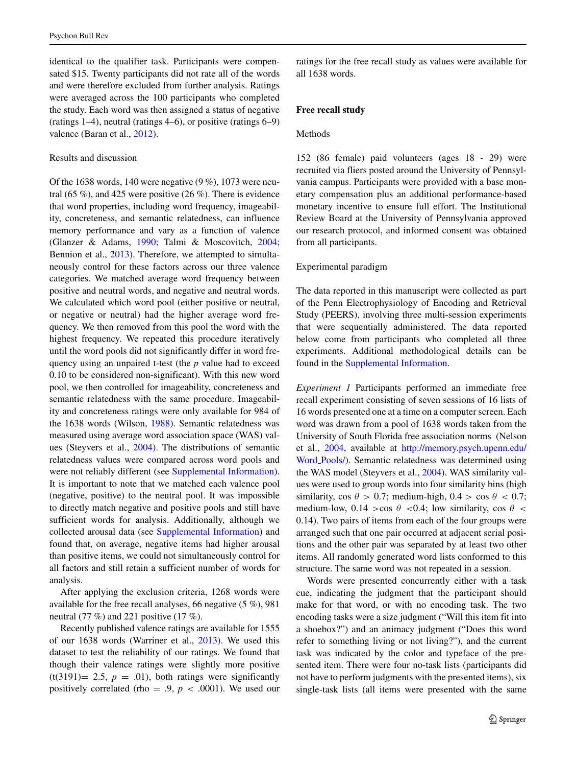identical to the qualifier task. Participants were compensated \$15. Twenty participants did not rate all of the words and were therefore excluded from further analysis. Ratings were averaged across the 100 participants who completed the study. Each word was then assigned a status of negative (ratings 1–4), neutral (ratings 4–6), or positive (ratings 6–9) valence (Baran et al., [2012\)](#page-5-24).

# Results and discussion

Of the 1638 words, 140 were negative (9 %), 1073 were neutral (65 %), and 425 were positive (26 %). There is evidence that word properties, including word frequency, imageability, concreteness, and semantic relatedness, can influence memory performance and vary as a function of valence (Glanzer & Adams, [1990;](#page-5-25) Talmi & Moscovitch, [2004;](#page-5-26) Bennion et al., [2013\)](#page-5-27). Therefore, we attempted to simultaneously control for these factors across our three valence categories. We matched average word frequency between positive and neutral words, and negative and neutral words. We calculated which word pool (either positive or neutral, or negative or neutral) had the higher average word frequency. We then removed from this pool the word with the highest frequency. We repeated this procedure iteratively until the word pools did not significantly differ in word frequency using an unpaired t-test (the *p* value had to exceed 0.10 to be considered non-significant). With this new word pool, we then controlled for imageability, concreteness and semantic relatedness with the same procedure. Imageability and concreteness ratings were only available for 984 of the 1638 words (Wilson, [1988\)](#page-5-28). Semantic relatedness was measured using average word association space (WAS) values (Steyvers et al., [2004\)](#page-5-29). The distributions of semantic relatedness values were compared across word pools and were not reliably different (see Supplemental Information). It is important to note that we matched each valence pool (negative, positive) to the neutral pool. It was impossible to directly match negative and positive pools and still have sufficient words for analysis. Additionally, although we collected arousal data (see Supplemental Information) and found that, on average, negative items had higher arousal than positive items, we could not simultaneously control for all factors and still retain a sufficient number of words for analysis.

After applying the exclusion criteria, 1268 words were available for the free recall analyses, 66 negative (5 %), 981 neutral (77 %) and 221 positive (17 %).

Recently published valence ratings are available for 1555 of our 1638 words (Warriner et al., [2013\)](#page-5-30). We used this dataset to test the reliability of our ratings. We found that though their valence ratings were slightly more positive  $(t(3191)= 2.5, p = .01)$ , both ratings were significantly positively correlated (rho = .9,  $p < .0001$ ). We used our

ratings for the free recall study as values were available for all 1638 words.

# **Free recall study**

#### Methods

152 (86 female) paid volunteers (ages 18 - 29) were recruited via fliers posted around the University of Pennsylvania campus. Participants were provided with a base monetary compensation plus an additional performance-based monetary incentive to ensure full effort. The Institutional Review Board at the University of Pennsylvania approved our research protocol, and informed consent was obtained from all participants.

# Experimental paradigm

The data reported in this manuscript were collected as part of the Penn Electrophysiology of Encoding and Retrieval Study (PEERS), involving three multi-session experiments that were sequentially administered. The data reported below come from participants who completed all three experiments. Additional methodological details can be found in the Supplemental Information.

<span id="page-2-0"></span>*Experiment 1* Participants performed an immediate free recall experiment consisting of seven sessions of 16 lists of 16 words presented one at a time on a computer screen. Each word was drawn from a pool of 1638 words taken from the University of South Florida free association norms (Nelson et al., [2004,](#page-5-31) available at [http://memory.psych.upenn.edu/](http://memory.psych.upenn.edu/Word_Pools/) Word [Pools/\)](http://memory.psych.upenn.edu/Word_Pools/). Semantic relatedness was determined using the WAS model (Steyvers et al., [2004\)](#page-5-29). WAS similarity values were used to group words into four similarity bins (high similarity, cos  $\theta > 0.7$ ; medium-high,  $0.4 > \cos \theta < 0.7$ ; medium-low,  $0.14 > cos \theta < 0.4$ ; low similarity,  $cos \theta <$ 0.14). Two pairs of items from each of the four groups were arranged such that one pair occurred at adjacent serial positions and the other pair was separated by at least two other items. All randomly generated word lists conformed to this structure. The same word was not repeated in a session.

Words were presented concurrently either with a task cue, indicating the judgment that the participant should make for that word, or with no encoding task. The two encoding tasks were a size judgment ("Will this item fit into a shoebox?") and an animacy judgment ("Does this word refer to something living or not living?"), and the current task was indicated by the color and typeface of the presented item. There were four no-task lists (participants did not have to perform judgments with the presented items), six single-task lists (all items were presented with the same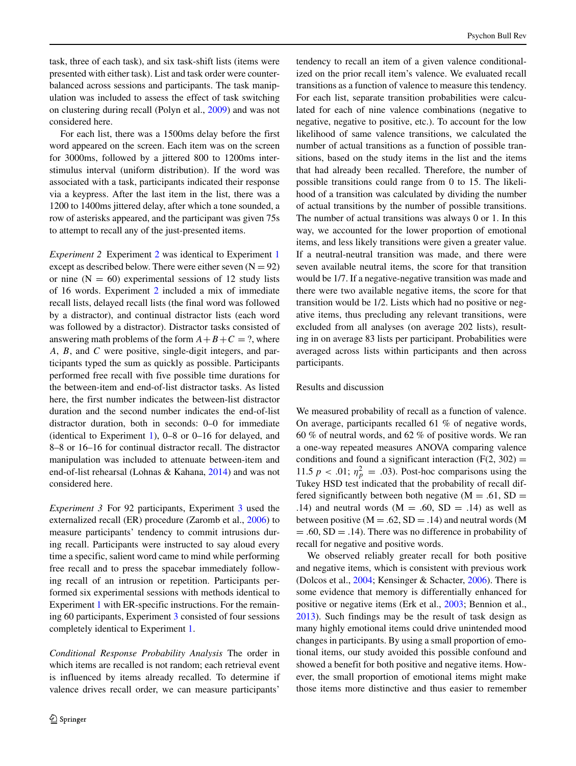task, three of each task), and six task-shift lists (items were presented with either task). List and task order were counterbalanced across sessions and participants. The task manipulation was included to assess the effect of task switching on clustering during recall (Polyn et al., [2009\)](#page-5-32) and was not considered here.

For each list, there was a 1500ms delay before the first word appeared on the screen. Each item was on the screen for 3000ms, followed by a jittered 800 to 1200ms interstimulus interval (uniform distribution). If the word was associated with a task, participants indicated their response via a keypress. After the last item in the list, there was a 1200 to 1400ms jittered delay, after which a tone sounded, a row of asterisks appeared, and the participant was given 75s to attempt to recall any of the just-presented items.

<span id="page-3-0"></span>*Experiment [2](#page-3-0)* Experiment 2 was identical to Experiment [1](#page-2-0) except as described below. There were either seven  $(N = 92)$ or nine  $(N = 60)$  experimental sessions of 12 study lists of 16 words. Experiment [2](#page-3-0) included a mix of immediate recall lists, delayed recall lists (the final word was followed by a distractor), and continual distractor lists (each word was followed by a distractor). Distractor tasks consisted of answering math problems of the form  $A + B + C = ?$ , where *A*, *B*, and *C* were positive, single-digit integers, and participants typed the sum as quickly as possible. Participants performed free recall with five possible time durations for the between-item and end-of-list distractor tasks. As listed here, the first number indicates the between-list distractor duration and the second number indicates the end-of-list distractor duration, both in seconds: 0–0 for immediate (identical to Experiment [1\)](#page-2-0), 0–8 or 0–16 for delayed, and 8–8 or 16–16 for continual distractor recall. The distractor manipulation was included to attenuate between-item and end-of-list rehearsal (Lohnas & Kahana, [2014\)](#page-5-33) and was not considered here.

<span id="page-3-1"></span>*Experiment 3* For 92 participants, Experiment [3](#page-3-1) used the externalized recall (ER) procedure (Zaromb et al., [2006\)](#page-5-34) to measure participants' tendency to commit intrusions during recall. Participants were instructed to say aloud every time a specific, salient word came to mind while performing free recall and to press the spacebar immediately following recall of an intrusion or repetition. Participants performed six experimental sessions with methods identical to Experiment [1](#page-2-0) with ER-specific instructions. For the remaining 60 participants, Experiment [3](#page-3-1) consisted of four sessions completely identical to Experiment [1.](#page-2-0)

*Conditional Response Probability Analysis* The order in which items are recalled is not random; each retrieval event is influenced by items already recalled. To determine if valence drives recall order, we can measure participants'

tendency to recall an item of a given valence conditionalized on the prior recall item's valence. We evaluated recall transitions as a function of valence to measure this tendency. For each list, separate transition probabilities were calculated for each of nine valence combinations (negative to negative, negative to positive, etc.). To account for the low likelihood of same valence transitions, we calculated the number of actual transitions as a function of possible transitions, based on the study items in the list and the items that had already been recalled. Therefore, the number of possible transitions could range from 0 to 15. The likelihood of a transition was calculated by dividing the number of actual transitions by the number of possible transitions. The number of actual transitions was always 0 or 1. In this way, we accounted for the lower proportion of emotional items, and less likely transitions were given a greater value. If a neutral-neutral transition was made, and there were seven available neutral items, the score for that transition would be 1/7. If a negative-negative transition was made and there were two available negative items, the score for that transition would be 1/2. Lists which had no positive or negative items, thus precluding any relevant transitions, were excluded from all analyses (on average 202 lists), resulting in on average 83 lists per participant. Probabilities were averaged across lists within participants and then across participants.

### Results and discussion

We measured probability of recall as a function of valence. On average, participants recalled 61 % of negative words, 60 % of neutral words, and 62 % of positive words. We ran a one-way repeated measures ANOVA comparing valence conditions and found a significant interaction  $(F(2, 302) =$ 11.5  $p < .01$ ;  $\eta_p^2 = .03$ ). Post-hoc comparisons using the Tukey HSD test indicated that the probability of recall differed significantly between both negative  $(M = .61, SD =$ .14) and neutral words  $(M = .60, SD = .14)$  as well as between positive  $(M = .62, SD = .14)$  and neutral words  $(M$  $= .60$ , SD  $= .14$ ). There was no difference in probability of recall for negative and positive words.

We observed reliably greater recall for both positive and negative items, which is consistent with previous work (Dolcos et al., [2004;](#page-5-0) Kensinger & Schacter, [2006\)](#page-5-35). There is some evidence that memory is differentially enhanced for positive or negative items (Erk et al., [2003;](#page-5-6) Bennion et al., [2013\)](#page-5-27). Such findings may be the result of task design as many highly emotional items could drive unintended mood changes in participants. By using a small proportion of emotional items, our study avoided this possible confound and showed a benefit for both positive and negative items. However, the small proportion of emotional items might make those items more distinctive and thus easier to remember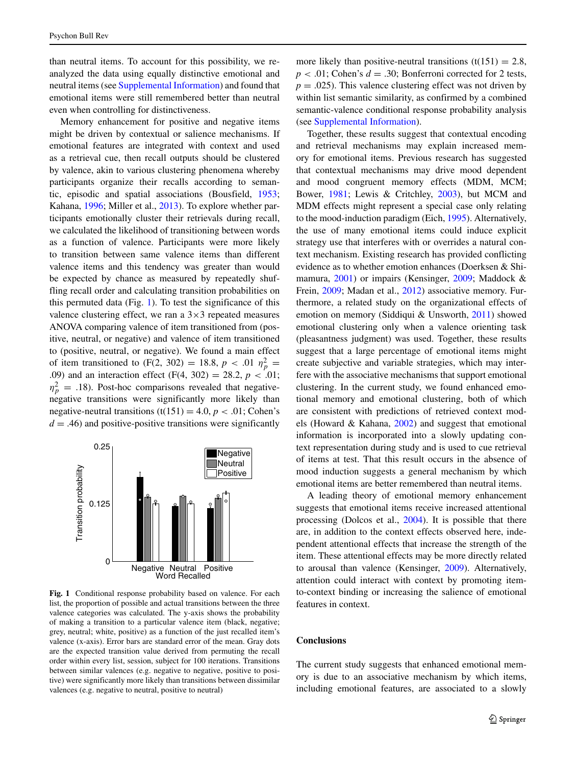than neutral items. To account for this possibility, we reanalyzed the data using equally distinctive emotional and neutral items (see Supplemental Information) and found that emotional items were still remembered better than neutral even when controlling for distinctiveness.

Memory enhancement for positive and negative items might be driven by contextual or salience mechanisms. If emotional features are integrated with context and used as a retrieval cue, then recall outputs should be clustered by valence, akin to various clustering phenomena whereby participants organize their recalls according to semantic, episodic and spatial associations (Bousfield, [1953;](#page-5-17) Kahana, [1996;](#page-5-18) Miller et al., [2013\)](#page-5-19). To explore whether participants emotionally cluster their retrievals during recall, we calculated the likelihood of transitioning between words as a function of valence. Participants were more likely to transition between same valence items than different valence items and this tendency was greater than would be expected by chance as measured by repeatedly shuffling recall order and calculating transition probabilities on this permuted data (Fig. [1\)](#page-4-0). To test the significance of this valence clustering effect, we ran a  $3\times3$  repeated measures ANOVA comparing valence of item transitioned from (positive, neutral, or negative) and valence of item transitioned to (positive, neutral, or negative). We found a main effect of item transitioned to (F(2, 302) = 18.8,  $p < .01 \eta_p^2$  = .09) and an interaction effect (F(4, 302) = 28.2, *p <* .01;  $\eta_p^2$  = .18). Post-hoc comparisons revealed that negativenegative transitions were significantly more likely than negative-neutral transitions (t(151) = 4.0,  $p < .01$ ; Cohen's  $d = .46$ ) and positive-positive transitions were significantly

<span id="page-4-0"></span>

**Fig. 1** Conditional response probability based on valence. For each list, the proportion of possible and actual transitions between the three valence categories was calculated. The y-axis shows the probability of making a transition to a particular valence item (black, negative; grey, neutral; white, positive) as a function of the just recalled item's valence (x-axis). Error bars are standard error of the mean. Gray dots are the expected transition value derived from permuting the recall order within every list, session, subject for 100 iterations. Transitions between similar valences (e.g. negative to negative, positive to positive) were significantly more likely than transitions between dissimilar valences (e.g. negative to neutral, positive to neutral)

more likely than positive-neutral transitions  $(t(151) = 2.8$ ,  $p < .01$ ; Cohen's  $d = .30$ ; Bonferroni corrected for 2 tests,  $p = .025$ ). This valence clustering effect was not driven by within list semantic similarity, as confirmed by a combined semantic-valence conditional response probability analysis (see Supplemental Information).

Together, these results suggest that contextual encoding and retrieval mechanisms may explain increased memory for emotional items. Previous research has suggested that contextual mechanisms may drive mood dependent and mood congruent memory effects (MDM, MCM; Bower, [1981;](#page-5-3) Lewis & Critchley, [2003\)](#page-5-10), but MCM and MDM effects might represent a special case only relating to the mood-induction paradigm (Eich, [1995\)](#page-5-4). Alternatively, the use of many emotional items could induce explicit strategy use that interferes with or overrides a natural context mechanism. Existing research has provided conflicting evidence as to whether emotion enhances (Doerksen & Shimamura, [2001\)](#page-5-7) or impairs (Kensinger, [2009;](#page-5-8) Maddock & Frein, [2009;](#page-5-9) Madan et al., [2012\)](#page-5-36) associative memory. Furthermore, a related study on the organizational effects of emotion on memory (Siddiqui & Unsworth, [2011\)](#page-5-20) showed emotional clustering only when a valence orienting task (pleasantness judgment) was used. Together, these results suggest that a large percentage of emotional items might create subjective and variable strategies, which may interfere with the associative mechanisms that support emotional clustering. In the current study, we found enhanced emotional memory and emotional clustering, both of which are consistent with predictions of retrieved context models (Howard & Kahana, [2002\)](#page-5-16) and suggest that emotional information is incorporated into a slowly updating context representation during study and is used to cue retrieval of items at test. That this result occurs in the absence of mood induction suggests a general mechanism by which emotional items are better remembered than neutral items.

A leading theory of emotional memory enhancement suggests that emotional items receive increased attentional processing (Dolcos et al., [2004\)](#page-5-0). It is possible that there are, in addition to the context effects observed here, independent attentional effects that increase the strength of the item. These attentional effects may be more directly related to arousal than valence (Kensinger, [2009\)](#page-5-8). Alternatively, attention could interact with context by promoting itemto-context binding or increasing the salience of emotional features in context.

#### **Conclusions**

The current study suggests that enhanced emotional memory is due to an associative mechanism by which items, including emotional features, are associated to a slowly